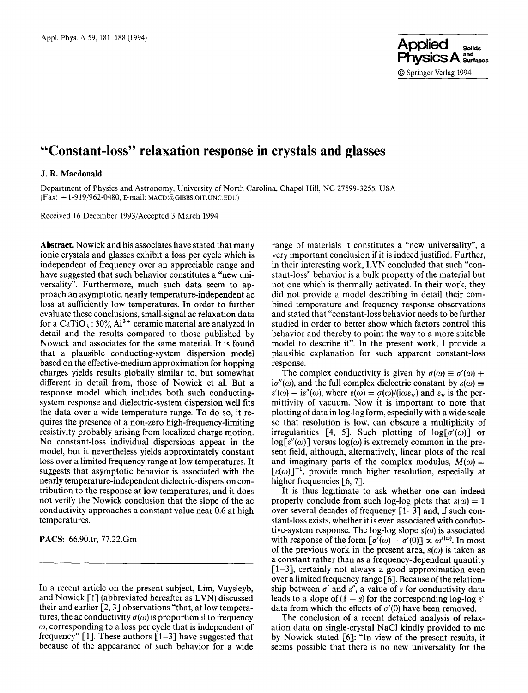

# **"Constant-loss" relaxation response in crystals and glasses**

## **J. R. Macdonald**

Department of Physics and Astronomy, University of North Carolina, Chapel Hill, NC 27599-3255, USA (Fax: + 1-919/962-0480, E-mail: MACD@GIBBS.OIT.UNC.EDU)

Received 16 December 1993/Accepted 3 March 1994

**Abstract.** Nowick and his associates have stated that many ionic crystals and glasses exhibit a loss per cycle which is independent of frequency over an appreciable range and have suggested that such behavior constitutes a "new universality". Furthermore, much such data seem to approach an asymptotic, nearly temperature-independent ac loss at sufficiently low temperatures. In order to further evaluate these conclusions, small-signal ac relaxation data for a CaTiO<sub>3</sub> :  $30\%$  Al<sup>3+</sup> ceramic material are analyzed in detail and the results compared to those published by Nowick and associates for the same material. It is found that a plausible conducting-system dispersion model based on the effective-medium approximation for hopping charges yields results globally similar to, but somewhat different in detail from, those of Nowick et al. But a response model which includes both such conductingsystem response and dielectric-system dispersion well fits the data over a wide temperature range. To do so, it **requires** the presence of a non-zero high-frequency-limiting resistivity probably arising from localized charge motion. No constant-loss individual dispersions appear in the model, but it nevertheless yields approximately constant loss over a limited frequency range at low temperatures. It suggests that asymptotic behavior is associated with **the**  nearly temperature-independent dielectric-dispersion contribution to the response at low temperatures, and it does not verify the Nowick conclusion that the slope of the ac conductivity approaches a constant value near 0.6 at high temperatures.

PACS: 66.90.tr, 77.22.Gm

In a recent article on the present subject, Lim, Vaysleyb, and Nowick [1] (abbreviated hereafter as LVN) discussed their and earlier [2, 3] observations "that, at low temperatures, the ac conductivity  $\sigma(\omega)$  is proportional to frequency  $\omega$ , corresponding to a loss per cycle that is independent of frequency" [1]. These authors  $[1-3]$  have suggested that because of the appearance of such behavior for a wide

range of materials it constitutes a "new universality", a very important conclusion if it is indeed justified. Further, in their interesting work, LVN concluded that such "constant-loss" behavior is a bulk property of the material but not one which is thermally activated. In their work, they did not provide a model describing in detail their combined temperature and frequency response observations and stated that "constant-loss behavior needs to be further studied in order to better show which factors control this behavior and thereby to point the way to a more suitable model to describe it". In the present work, I provide a plausible explanation for such apparent constant-loss response.

The complex conductivity is given by  $\sigma(\omega) \equiv \sigma'(\omega) +$  $i\sigma''(\omega)$ , and the full complex dielectric constant by  $\varepsilon(\omega) \equiv$  $\varepsilon'(\omega) - i\varepsilon''(\omega)$ , where  $\varepsilon(\omega) = \sigma(\omega)/(i\omega \varepsilon_v)$  and  $\varepsilon_v$  is the permittivity of vacuum. Now it is important to note that plotting of data in log-log form, especially with a wide scale so that resolution is low, can obscure a multiplicity of irregularities [4, 5]. Such plotting of  $log[ $\sigma'(\omega)$ ]$  or  $log[\varepsilon''(\omega)]$  versus  $log(\omega)$  is extremely common in the present field, although, alternatively, linear plots of the real and imaginary parts of the complex modulus,  $M(\omega) \equiv$  $[\epsilon(\omega)]^{-1}$ , provide much higher resolution, especially at higher frequencies [6, 7].

It is thus legitimate to ask whether one can indeed properly conclude from such log-log plots that  $s(\omega) = 1$ over several decades of frequency  $\lceil 1-3 \rceil$  and, if such constant-loss exists, whether it is even associated with conductive-system response. The log-log slope  $s(\omega)$  is associated with response of the form  $[\sigma'(\omega) - \sigma'(0)] \propto \omega^{s(\omega)}$ . In most of the previous work in the present area,  $s(\omega)$  is taken as a constant rather than as a frequency-dependent quantity  $[1-3]$ , certainly not always a good approximation even over a limited frequency range [6]. Because of the relationship between  $\sigma'$  and  $\varepsilon''$ , a value of s for conductivity data leads to a slope of  $(1 - s)$  for the corresponding log-log  $\varepsilon$ " data from which the effects of  $\sigma'(0)$  have been removed.

The conclusion of a recent detailed analysis of relaxation data on single-crystal NaC1 kindly provided to me by Nowick stated [6]: "In view of the present results, it seems possible that there is no new universality for the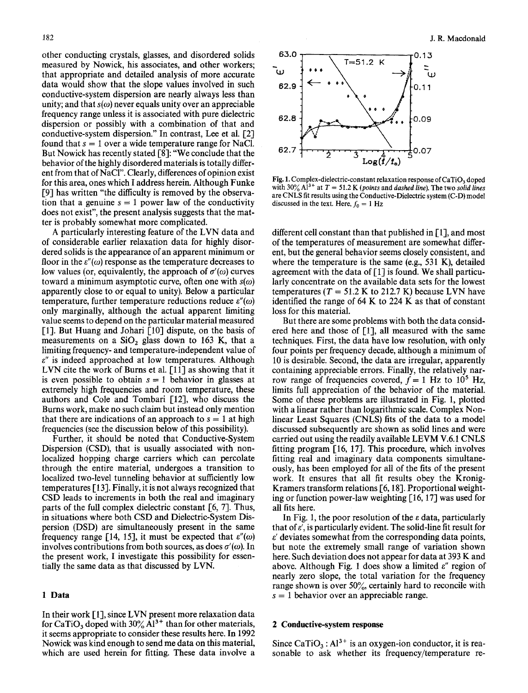other conducting crystals, glasses, and disordered solids measured by Nowick, his associates, and other workers; that appropriate and detailed analysis of more accurate data would show that the slope values involved in such conductive-system dispersion are nearly always less than unity; and that  $s(\omega)$  never equals unity over an appreciable frequency range unless it is associated with pure dielectric dispersion or possibly with a combination of that and conductive-system dispersion." In contrast, Lee et al. [2] found that  $s = 1$  over a wide temperature range for NaCl. But Nowick has recently stated [8]: "We conclude that the behavior of the highly disordered materials is totally different from that of NaCI". Clearly, differences of opinion exist for this area, ones which I address herein. Although Funke [9] has written "the difficulty is removed by the observation that a genuine  $s = 1$  power law of the conductivity does not exist", the present analysis suggests that the matter is probably somewhat more complicated.

A particularly interesting feature of the LVN data and of considerable earlier relaxation data for highly disordered solids is the appearance of an apparent minimum or floor in the  $\varepsilon''(\omega)$  response as the temperature decreases to low values (or, equivalently, the approach of  $\sigma'(\omega)$  curves toward a minimum asymptotic curve, often one with  $s(\omega)$ apparently close to or equal to unity). Below a particular temperature, further temperature reductions reduce  $\varepsilon''(\omega)$ only marginally, although the actual apparent limiting value seems to depend on the particular material measured [1]. But Huang and Johari [10] dispute, on the basis of measurements on a  $SiO<sub>2</sub>$  glass down to 163 K, that a limiting frequency- and temperature-independent value of  $\varepsilon$ " is indeed approached at low temperatures. Although LVN cite the work of Burns et al. [11] as showing that it is even possible to obtain  $s = 1$  behavior in glasses at extremely high frequencies and room temperature, these authors and Cole and Tombari [12], who discuss the Burns work, make no such claim but instead only mention that there are indications of an approach to  $s = 1$  at high frequencies (see the discussion below of this possibility).

Further, it should be noted that Conductive-System Dispersion (CSD), that is usually associated with nonlocalized hopping charge carriers which can percolate through the entire material, undergoes a transition to localized two-level tunneling behavior at sufficiently low temperatures [13]. Finally, it is not always recognized that CSD leads to increments in both the real and imaginary parts of the full complex dielectric constant  $[6, 7]$ . Thus, in situations where both CSD and Dielectric-System Dispersion (DSD) are simultaneously present in the same frequency range [14, 15], it must be expected that  $\varepsilon''(\omega)$ involves contributions from both sources, as does  $\sigma'(\omega)$ . In the present work, I investigate this possibility for essentially the same data as that discussed by LVN.

## **1 Data**

In their work [1], since LVN present more relaxation data for CaTiO<sub>3</sub> doped with  $30\%$  Al<sup>3+</sup> than for other materials, it seems appropriate to consider these results here. In 1992 Nowick was kind enough to send me data on this material, which are used herein for fitting. These data involve a



Fig. 1. Complex-dielectric-constant relaxation response of  $CaTiO<sub>3</sub>$  doped with  $30\%$  A<sup> $13+$ </sup> at  $T = 51.2$  K *(points and dashed line)*. The two *solid lines* are CNLS fit results using the Conductive-Dielectric system (C-D) model discussed in the text. Here,  $f_0 = 1$  Hz

different cell constant than that published in [1], and most of the temperatures of measurement are somewhat different, but the general behavior seems closely consistent, and where the temperature is the same (e.g.,  $531$  K), detailed agreement with the data of [1] is found. We shall particularly concentrate on the available data sets for the lowest temperatures ( $T = 51.2$  K to 212.7 K) because LVN have identified the range of 64 K to 224 K as that of constant loss for this material.

But there are some problems with both the data considered here and those of [1], all measured with the same techniques. First, the data have low resolution, with only four points per frequency decade, although a minimum of 10 is desirable. Second, the data are irregular, apparently containing appreciable errors. Finally, the relatively narrow range of frequencies covered,  $f = 1$  Hz to 10<sup>5</sup> Hz, limits full appreciation of the behavior of the material. Some of these problems are illustrated in Fig. 1, plotted with a linear rather than logarithmic scale. Complex Nonlinear Least Squares (CNLS) fits of the data to a model discussed subsequently are shown as solid lines and were carried out using the readily available LEVM V.6.1 CNLS fitting program [16, 17]. This procedure, which involves fitting real and imaginary data components simultaneously, has been employed for all of the fits of the present work. It ensures that all fit results obey the Kronig-Kramers transform relations  $[6, 18]$ . Proportional weighting or function power-law weighting [16, 17] was used for all fits here.

In Fig. 1, the poor resolution of the  $\varepsilon$  data, particularly that of  $\varepsilon'$ , is particularly evident. The solid-line fit result for  $\varepsilon'$  deviates somewhat from the corresponding data points, but note the extremely small range of variation shown here. Such deviation does not appear for data at 393 K and above. Although Fig. 1 does show a limited  $\varepsilon''$  region of nearly zero slope, the total variation for the frequency range shown is over  $50\%$ , certainly hard to reconcile with  $s = 1$  behavior over an appreciable range.

## **2 Conductive-system response**

Since CaTiO<sub>3</sub>:  $Al^{3+}$  is an oxygen-ion conductor, it is reasonable to ask whether its frequency/temperature re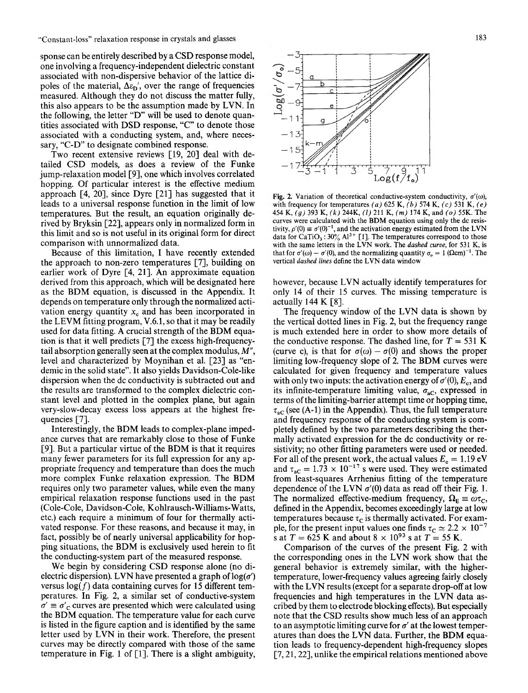sponse can be entirely described by a CSD response model, one involving a frequency-independent dielectric constant associated with non-dispersive behavior of the lattice dipoles of the material,  $\Delta \varepsilon_{\rm D}$ ', over the range of frequencies measured. Although they do not discuss the matter fully, this also appears to be the assumption made by LVN. In the following, the letter "D" will be used to denote quantities associated with DSD response, "C" to denote those associated with a conducting system, and, where necessary, "C-D" to designate combined response.

Two recent extensive reviews [19, 20] deal with detailed CSD models, as does a review of the Funke jump-relaxation model [9], one which involves correlated hopping. Of particular interest is the effective medium approach [4, 20], since Dyre [21] has suggested that it leads to a universal response function in the limit of low temperatures. But the result, an equation originally derived by Bryksin [22], appears only in normalized form in this limit and so is not useful in its original form for direct comparison with unnormalized data.

Because of this limitation, I have recently extended the approach to non-zero temperatures  $[7]$ , building on earlier work of Dyre [4, 21]. An approximate equation derived from this approach, which will be designated here as the BDM equation, is discussed in the Appendix. It depends on temperature only through the normalized activation energy quantity  $x_c$  and has been incorporated in the LEVM fitting program, V.6.1, so that it may be readily used for data fitting. A crucial strength of the BDM equation is that it well predicts [7] the excess high-frequencytail absorption generally seen at the complex modulus,  $M''$ level and characterized by Moynihan et al. [23] as "endemic in the solid state". It also yields Davidson-Cole-like dispersion when the dc conductivity is subtracted out and the results are transformed to the complex dielectric constant level and plotted in the complex plane, but again very-slow-decay excess loss appears at the highest frequencies [7].

Interestingly, the BDM leads to complex-plane impedance curves that are remarkably close to those of Funke [9]. But a particular virtue of the BDM is that it requires many fewer parameters for its full expression for any appropriate frequency and temperature than does the much more complex Funke relaxation expression. The BDM requires only two parameter values, while even the many empirical relaxation response functions used in the past (Cole-Cole, Davidson-Cole, Kohlrausch-Williams-Watts, etc.) each require a minimum of four for thermally activated response. For these reasons, and because it may, in fact, possibly be of nearly universal applicability for hopping situations, the BDM is exclusively used herein to fit the conducting-system part of the measured response.

We begin by considering CSD response alone (no dielectric dispersion). LVN have presented a graph of  $log(\sigma')$ versus  $log(f)$  data containing curves for 15 different temperatures. In Fig. 2, a similar set of conductive-system  $\sigma' \equiv \sigma'_{\rm C}$  curves are presented which were calculated using the BDM equation. The temperature value for each curve is listed in the figure caption and is identified by the same letter used by LVN in their work. Therefore, the present curves may be directly compared with those of the same temperature in Fig. 1 of  $\lceil 1 \rceil$ . There is a slight ambiguity,



Fig. 2. Variation of theoretical conductive-system conductivity,  $\sigma'(\omega)$ , with frequency for temperatures *(a)* 625 K, *(b)* 574 K, *(c)* 531 K, (e) 454 K, *(9)* 393 K, *(k)* 244K, *(1)* 211 K, *(m)* 174 K, and (o) 55K. The curves were calculated with the BDM equation using only the dc resistivity,  $\rho'(0) \equiv \sigma'(0)^{-1}$ , and the activation energy estimated from the LVN data for  $\text{CaTiO}_3$ :  $30\%$  Al<sup>3+</sup> [1]. The temperatures correspond to those with the same letters in the LVN work. The *dashed curve,* for 531 K, is that for  $\sigma'(\omega) - \sigma'(0)$ , and the normalizing quantity  $\sigma_o = 1$  ( $\Omega$ cm)<sup>-1</sup>. The vertical *dashed lines* define the LVN data window

however, because LVN actually identify temperatures for only 14 of their 15 curves. The missing temperature is actually 144 K [8].

The frequency window of the LVN data is shown by the vertical dotted lines in Fig. 2, but the frequency range is much extended here in order to show more details of the conductive response. The dashed line, for  $T = 531$  K (curve c), is that for  $\sigma(\omega) - \sigma(0)$  and shows the proper limiting low-frequency slope of 2. The BDM curves were calculated for given frequency and temperature values with only two inputs: the activation energy of  $\sigma'(0)$ ,  $E_c$ , and its infinite-temperature limiting value,  $\sigma_{\text{ac}}$ , expressed in terms of the limiting-barrier attempt time or hopping time,  $\tau_{\rm{ac}}$  (see (A-1) in the Appendix). Thus, the full temperature and frequency response of the conducting system is completely defined by the two parameters describing the thermally activated expression for the dc conductivity or resistivity; no other fitting parameters were used or needed. For all of the present work, the actual values  $E_c = 1.19 \text{ eV}$ and  $\tau_{\rm ac} = 1.73 \times 10^{-17}$  s were used. They were estimated from least-squares Arrhenius fitting of the temperature dependence of the LVN  $\sigma'(0)$  data as read off their Fig. 1. The normalized effective-medium frequency,  $\Omega_{\rm E} \equiv \omega \tau_{\rm C}$ , defined in the Appendix, becomes exceedingly large at low temperatures because  $\tau_c$  is thermally activated. For example, for the present input values one finds  $\tau_c \simeq 2.2 \times 10^{-7}$ s at  $T = 625$  K and about  $8 \times 10^{93}$  s at  $T = 55$  K.

Comparison of the curves of the present Fig. 2 with the corresponding ones in the LVN work show that the general behavior is extremely similar, with the highertemperature, lower-frequency values agreeing fairly closely with the LVN results (except for a separate drop-off at low frequencies and high temperatures in the LVN data ascribed by them to electrode blocking effects). But especially note that the CSD results show much less of an approach to an asymptotic limiting curve for  $\sigma'$  at the lowest temperatures than does the LVN data. Further, the BDM equation leads to frequency-dependent high-frequency slopes  $[7, 21, 22]$ , unlike the empirical relations mentioned above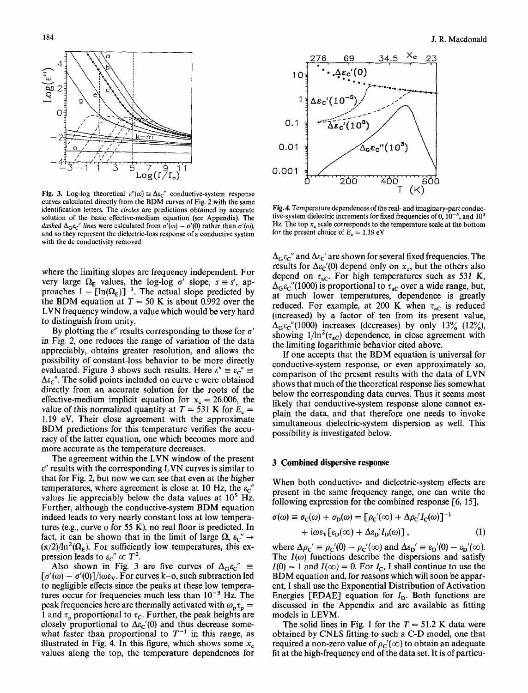

**Fig. 3.** Log-log theoretical  $\varepsilon''(\omega) \equiv \Delta \varepsilon_c''$  conductive-system response curves calculated directly from the BDM curves of Fig. 2 with the same identification letters. The *circles* are predictions obtained by accurate solution of the basic effective-medium equation (see Appendix). The *dashed*  $\Delta_{\rm G} \varepsilon_{\rm C}^{\prime\prime}$  *lines* were calculated from  $\sigma'(\omega) - \sigma'(0)$  rather than  $\sigma'(\omega)$ , and so they represent the dielectric-loss response of a conductive system with the dc conductivity removed

where the limiting slopes are frequency independent. For very large  $\Omega_E$  values, the log-log  $\sigma'$  slope,  $s \equiv s'$ , approaches  $1 - [\ln(\Omega_{\rm E})]^{-1}$ . The actual slope predicted by the BDM equation at  $T = 50$  K is about 0.992 over the LVN frequency window, a value which would be very hard to distinguish from unity.

By plotting the  $\varepsilon''$  results corresponding to those for  $\sigma'$ in Fig. 2, one reduces the range of variation of the data appreciably, obtains greater resolution, and allows the possibility of constant-loss behavior to be more directly evaluated. Figure 3 shows such results. Here  $\varepsilon'' \equiv \varepsilon_c'' \equiv$  $\Delta \varepsilon_c$ ". The solid points included on curve c were obtained directly from an accurate solution for the roots of the effective-medium implicit equation for  $x_c = 26.006$ , the value of this normalized quantity at  $T = 531$  K for  $E_c =$ 1.19 eV. Their close agreement with the approximate BDM predictions for this temperature verifies the accuracy of the latter equation, one which becomes more and more accurate as the temperature decreases.

The agreement within the LVN window of the present  $\varepsilon$ " results with the corresponding LVN curves is similar to that for Fig. 2, but now we can see that even at the higher temperatures, where agreement is close at 10 Hz, the  $\varepsilon_c$ " values lie appreciably below the data values at  $10<sup>5</sup>$  Hz. Further, although the conductive-system BDM equation indeed leads to very nearly constant loss at low temperatures (e.g., curve o for 55 K), no real floor is predicted. In fact, it can be shown that in the limit of large  $\Omega$ ,  $\varepsilon_c'' \rightarrow$  $(\pi/2)/\ln^2(\Omega_E)$ . For sufficiently low temperatures, this expression leads to  $\varepsilon_c'' \propto T^2$ .

Also shown in Fig. 3 are five curves of  $\Delta_{\text{G}}\epsilon_{\text{C}}^{\prime\prime}$  =  $[\sigma'(\omega) - \sigma'(0)]/i\omega \varepsilon_{V}$ . For curves k-o, such subtraction led to negligible effects since the peaks at these low temperatures occur for frequencies much less than  $10^{-3}$  Hz. The peak frequencies here are thermally activated with  $\omega_p \tau_p =$ 1 and  $\tau_p$  proportional to  $\tau_c$ . Further, the peak heights are closely proportional to  $\Delta \varepsilon_c'(0)$  and thus decrease somewhat faster than proportional to  $T^{-1}$  in this range, as illustrated in Fig. 4. In this figure, which shows some  $x_c$ values along the top, the temperature dependences for



Fig. 4. Temperature dependences of the real- and imaginary-part conductive-system dielectric increments for fixed frequencies of 0,  $10^{-5}$ , and  $10^3$ Hz. The top  $x_c$  scale corresponds to the temperature scale at the bottom for the present choice of  $E_c = 1.19$  eV

 $\Delta_{\mathbf{G}} \varepsilon_{\mathbf{C}}$ " and  $\Delta \varepsilon_{\mathbf{C}}$ ' are shown for several fixed frequencies. The results for  $\Delta \varepsilon_c'(0)$  depend only on  $x_c$ , but the others also depend on  $\tau_{\text{aC}}$ . For high temperatures such as 531 K,  $\Delta_{\mathbf{G}} \varepsilon_{\mathbf{C}}''$ (1000) is proportional to  $\tau_{\mathbf{a} \mathbf{C}}$  over a wide range, but, at much lower temperatures, dependence is greatly reduced. For example, at 200 K when  $\tau_{\text{aC}}$  is reduced (increased) by a factor of ten from its present value,  $\Delta_{\rm G} \varepsilon_{\rm C}^{\prime\prime}$ (1000) increases (decreases) by only 13% (12%), showing  $1/\ln^2(\tau_{\rm ac})$  dependence, in close agreement with the limiting logarithmic behavior cited above.

If one accepts that the BDM equation is universal for conductive-system response, or even approximately so, comparison of the present results with the data of LVN shows that much of the theoretical response lies somewhat below the corresponding data curves. Thus it seems most likely that conductive-system response alone cannot explain the data, and that therefore one needs to invoke simultaneous dielectric-system dispersion as well. This possibility is investigated below.

# 3 **Combined dispersive response**

When both conductive- and dielectric-system effects are present in the same frequency range, one can write the following expression for the combined response  $[6, 15]$ ,

$$
\sigma(\omega) \equiv \sigma_{\rm C}(\omega) + \sigma_{\rm D}(\omega) = [\rho_{\rm C}'(\infty) + \Delta \rho_{\rm C}' I_{\rm C}(\omega)]^{-1}
$$
  
+ 
$$
\mathrm{i}\omega \varepsilon_{\rm V} [\varepsilon_{\rm D}(\infty) + \Delta \varepsilon_{\rm D}' I_{\rm D}(\omega)], \qquad (1)
$$

where  $\Delta \rho_C' \equiv \rho_C'(0) - \rho_C'(\infty)$  and  $\Delta \varepsilon_D' \equiv \varepsilon_D'(0) - \varepsilon_D'(\infty)$ . The  $I(\omega)$  functions describe the dispersions and satisfy  $I(0) = 1$  and  $I(\infty) = 0$ . For  $I_c$ , I shall continue to use the BDM equation and, for reasons which will soon be apparent, I shall use the Exponential Distribution of Activation Energies [EDAE] equation for  $I<sub>D</sub>$ . Both functions are discussed in the Appendix and are available as fitting models in LEVM.

The solid lines in Fig. 1 for the  $T = 51.2$  K data were obtained by CNLS fitting to such a C-D model, one that required a non-zero value of  $\rho_c'(\infty)$  to obtain an adequate fit at the high-frequency end of the data set. It is of particu-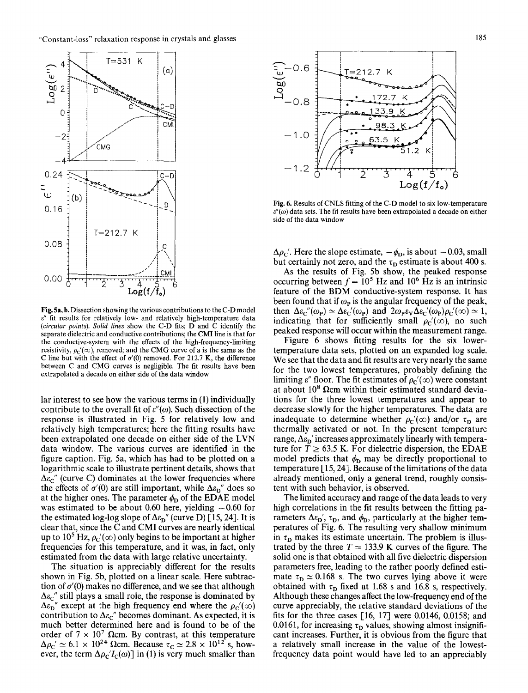

Fig. 5a, b. Dissection showing the various contributions to the C-D model  $\varepsilon$ " fit results for relatively low- and relatively high-temperature data *(circular points). Solid lines* show the C-D fits; D and C identify the separate dielectric and conductive contributions; the CMI line is that for the conductive-system with the effects of the high-frequency-limiting resistivity,  $\rho_c'(\infty)$ , removed; and the CMG curve of a is the same as the C line but with the effect of  $\sigma'(0)$  removed. For 212.7 K, the difference between C and CMG curves is negligible. The fit results have been extrapolated a decade on either side of the data window

lar interest to see how the various terms in (1) individually contribute to the overall fit of  $\varepsilon''(\omega)$ . Such dissection of the response is illustrated in Fig. 5 for relatively low and relatively high temperatures; here the fitting results have been extrapolated one decade on either side of the LVN data window. The various curves are identified in the figure caption. Fig. 5a, which has had to be plotted on a logarithmic scale to illustrate pertinent details, shows that  $\Delta \varepsilon_{\rm C}$ " (curve C) dominates at the lower frequencies where the effects of  $\sigma'(0)$  are still important, while  $\Delta \epsilon_{\rm D}$ " does so at the higher ones. The parameter  $\phi_{\rm D}$  of the EDAE model was estimated to be about 0.60 here, yielding  $-0.60$  for the estimated log-log slope of  $\Delta \epsilon_{\rm D}$ " (curve D) [15, 24]. It is clear that, since the C and CMI curves are nearly identical up to 10<sup>5</sup> Hz,  $\rho_c'(\infty)$  only begins to be important at higher frequencies for this temperature, and it was, in fact, only estimated from the data with large relative uncertainty.

The situation is appreciably different for the results shown in Fig. 5b, plotted on a linear scale. Here subtraction of  $\sigma'(0)$  makes no difference, and we see that although  $\Delta \varepsilon_c$ " still plays a small role, the response is dominated by  $\Delta \varepsilon_{D}$ " except at the high frequency end where the  $\rho_{C}'(\infty)$ contribution to  $\Delta \varepsilon_c$ " becomes dominant. As expected, it is much better determined here and is found to be of the order of  $7 \times 10^7$  Ωcm. By contrast, at this temperature  $\Delta \rho_c' \simeq 6.1 \times 10^{24}$  Ωcm. Because  $\tau_c \simeq 2.8 \times 10^{12}$  s, however, the term  $\Delta \rho_c/I_c(\omega)$ ] in (1) is very much smaller than



Fig. 6. Results of CNLS fitting of the C-D model to six low-temperature  $\varepsilon''(\omega)$  data sets. The fit results have been extrapolated a decade on either side of the data window

 $\Delta \rho_C'$ . Here the slope estimate,  $-\phi_D$ , is about  $-0.03$ , small but certainly not zero, and the  $\tau_{\rm D}$  estimate is about 400 s.

As the results of Fig. 5b show, the peaked response occurring between  $f = 10<sup>5</sup>$  Hz and 10<sup>6</sup> Hz is an intrinsic feature of the BDM conductive-system response. It has been found that if  $\omega_{\mathbf{p}}$  is the angular frequency of the peak, then  $\Delta \varepsilon_{C}''(\omega_{P}) \simeq \Delta \varepsilon_{C}'(\omega_{P})$  and  $2\omega_{P}\varepsilon_{V}\Delta \varepsilon_{C}'(\omega_{P})\rho_{C}'(\infty) \simeq 1$ , indicating that for sufficiently small  $\rho_c'(\infty)$ , no such peaked response will occur within the measurement range.

Figure 6 shows fitting results for the six lowertemperature data sets, plotted on an expanded log scale. We see that the data and fit results are very nearly the same for the two lowest temperatures, probably defining the limiting  $\varepsilon''$  floor. The fit estimates of  $\rho_c'(\infty)$  were constant at about  $10^8$   $\Omega$ cm within their estimated standard deviations for the three lowest temperatures and appear to decrease slowly for the higher temperatures. The data are inadequate to determine whether  $\rho_c'(\infty)$  and/or  $\tau_D$  are thermally activated or not. In the present temperature range,  $\Delta \epsilon_{\rm D}$ ' increases approximately linearly with temperature for  $T \ge 63.5$  K. For dielectric dispersion, the EDAE model predicts that  $\phi_{\rm D}$  may be directly proportional to temperature  $[15, 24]$ . Because of the limitations of the data already mentioned, only a general trend, roughly consistent with such behavior, is observed.

The limited accuracy and range of the data leads to very high correlations in the fit results between the fitting parameters  $\Delta \varepsilon_{D}$ ',  $\tau_{D}$ , and  $\phi_{D}$ , particularly at the higher temperatures of Fig. 6. The resulting very shallow minimum in  $\tau_D$  makes its estimate uncertain. The problem is illustrated by the three  $T = 133.9$  K curves of the figure. The solid one is that obtained with all five dielectric dispersion parameters free, leading to the rather poorly defined estimate  $\tau_{\rm D} \simeq 0.168$  s. The two curves lying above it were obtained with  $\tau_{\rm D}$  fixed at 1.68 s and 16.8 s, respectively. Although these changes affect the low-frequency end of the curve appreciably, the relative standard deviations of the fits for the three cases  $[16, 17]$  were 0.0146, 0.0158; and 0.0161, for increasing  $\tau_D$  values, showing almost insignificant increases. Further, it is obvious from the figure that a relatively small increase in the value of the lowestfrequency data point would have led to an appreciably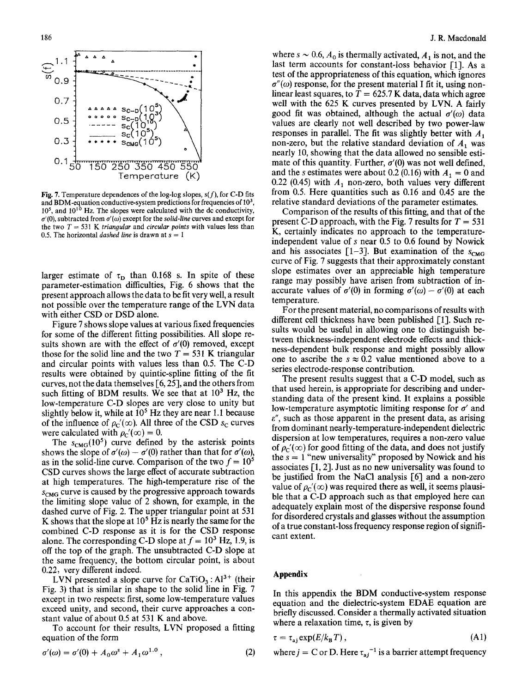

Fig. 7. Temperature dependences of the log-log slopes,  $s(f)$ , for C-D fits and BDM-equation conductive-system predictions for frequencies of 103,  $10<sup>5</sup>$ , and  $10<sup>10</sup>$  Hz. The slopes were calculated with the dc conductivity,  $\sigma'(0)$ , subtracted from  $\sigma'(\omega)$  except for the *solid-line* curves and except for the two  $T = 531$  K *triangular* and *circular points* with values less than 0.5. The horizontal *dashed line* is drawn at  $s = 1$ 

larger estimate of  $\tau_{\rm D}$  than 0.168 s. In spite of these parameter-estimation difficulties, Fig. 6 shows that the present approach allows the data to be fit very well, a result not possible over the temperature range of the LVN data with either CSD or DSD alone.

Figure 7 shows slope values at various fixed frequencies for some of the different fitting possibilities. All slope results shown are with the effect of  $\sigma'(0)$  removed, except those for the solid line and the two  $T = 531$  K triangular and circular points with values less than 0.5. The C-D results were obtained by quintic-spline fitting of the fit curves, not the data themselves  $\lceil 6, 25 \rceil$ , and the others from such fitting of BDM results. We see that at  $10<sup>3</sup>$  Hz, the low-temperature C-D slopes are very close to unity but slightly below it, while at  $10<sup>5</sup>$  Hz they are near 1.1 because of the influence of  $\rho_c'(\infty)$ . All three of the CSD s<sub>c</sub> curves were calculated with  $\rho_c'(\infty) = 0$ .

The  $s_{CMG}(10^5)$  curve defined by the asterisk points shows the slope of  $\sigma'(\omega) - \sigma'(0)$  rather than that for  $\sigma'(\omega)$ , as in the solid-line curve. Comparison of the two  $f = 10<sup>5</sup>$ CSD curves shows the large effect of accurate subtraction at high temperatures. The high-temperature rise of the  $S_{CMC}$  curve is caused by the progressive approach towards the limiting slope value of 2 shown, for example, in the dashed curve of Fig. 2. The upper triangular point at 531 K shows that the slope at  $10<sup>5</sup>$  Hz is nearly the same for the combined C-D response as it is for the CSD response alone. The corresponding C-D slope at  $f = 10^3$  Hz, 1.9, is off the top of the graph. The unsubtracted C-D slope at the same frequency, the bottom circular point, is about 0.22, very different indeed.

LVN presented a slope curve for  $CaTiO<sub>3</sub>$ : Al<sup>3+</sup> (their Fig. 3) that is similar in shape to the solid line in Fig. 7 except in two respects: first, some low-temperature values exceed unity, and second, their curve approaches a constant value of about 0.5 at 531 K and above.

To account for their results, LVN proposed a fitting equation of the form

$$
\sigma'(\omega) = \sigma'(0) + A_0 \omega^s + A_1 \omega^{1.0}, \qquad (2)
$$

where  $s \sim 0.6$ ,  $A_0$  is thermally activated,  $A_1$  is not, and the last term accounts for constant-loss behavior [1]. As a test of the appropriateness of this equation, which ignores  $\sigma''(\omega)$  response, for the present material I fit it, using nonlinear least squares, to  $T = 625.7$  K data, data which agree well with the 625 K curves presented by LVN. A fairly good fit was obtained, although the actual  $\sigma'(\omega)$  data values are clearly not well described by two power-law responses in parallel. The fit was slightly better with  $A_1$ non-zero, but the relative standard deviation of  $A_1$  was nearly 10, showing that the data allowed no sensible estimate of this quantity. Further,  $\sigma'(0)$  was not well defined, and the s estimates were about 0.2 (0.16) with  $A_1 = 0$  and 0.22 (0.45) with  $A_1$  non-zero, both values very different from 0.5. Here quantities such as 0.16 and 0.45 are the relative standard deviations of the parameter estimates.

Comparison of the results of this fitting, and that of the present C-D approach, with the Fig. 7 results for  $T = 531$ K, certainly indicates no approach to the temperatureindependent value of s near 0.5 to 0.6 found by Nowick and his associates  $[1-3]$ . But examination of the  $s_{CMB}$ curve of Fig. 7 suggests that their approximately constant slope estimates over an appreciable high temperature range may possibly have arisen from subtraction of inaccurate values of  $\sigma'(0)$  in forming  $\sigma'(\omega) - \sigma'(0)$  at each temperature.

For the present material, no comparisons of results with different cell thickness have been published  $[1]$ . Such results would be useful in allowing one to distinguish between thickness-independent electrode effects and thickness-dependent bulk response and might possibly allow one to ascribe the  $s \approx 0.2$  value mentioned above to a series electrode-response contribution.

The present results suggest that a C-D model, such as that used herein, is appropriate for describing and understanding data of the present kind. It explains a possible low-temperature asymptotic limiting response for  $\sigma'$  and  $\varepsilon$ ", such as those apparent in the present data, as arising from dominant nearly-temperature-independent dielectric dispersion at low temperatures, requires a non-zero value of  $\rho_c'(\infty)$  for good fitting of the data, and does not justify the  $s = 1$  "new universality" proposed by Nowick and his associates  $[1, 2]$ . Just as no new universality was found to be justified from the NaCl analysis  $[6]$  and a non-zero value of  $\rho_c'(\infty)$  was required there as well, it seems plausible that a C-D approach such as that employed here can adequately explain most of the dispersive response found for disordered crystals and glasses without the assumption of a true constant-loss frequency response region of significant extent.

## **Appendix**

In this appendix the BDM conductive-system response equation and the dielectric-system EDAE equation are briefly discussed. Consider a thermally activated situation where a relaxation time,  $\tau$ , is given by

$$
\tau = \tau_{ai} \exp(E/k_B T) , \qquad (A1)
$$

where  $j = C$  or D. Here  $\tau_{ai}^{-1}$  is a barrier attempt frequency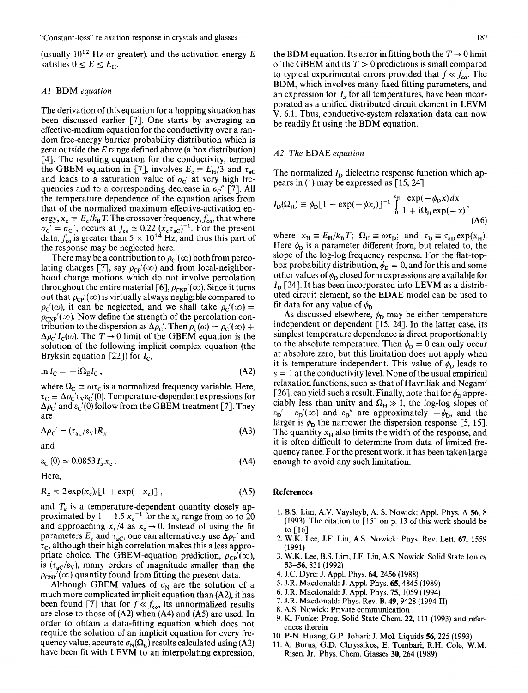(usually  $10^{12}$  Hz or greater), and the activation energy E satisfies  $0 \le E \le E_{\rm H}$ .

### *A1* BDM *equation*

The derivation of this equation for a hopping situation has been discussed earlier [7]. One starts by averaging an effective-medium equation for the conductivity over a random free-energy barrier probability distribution which is zero outside the E range defined above (a box distribution) [4]. The resulting equation for the conductivity, termed the GBEM equation in [7], involves  $E_c = E_H/3$  and  $\tau_{aC}$ and leads to a saturation value of  $\sigma_C'$  at very high frequencies and to a corresponding decrease in  $\sigma_{\rm c}$ " [7]. All the temperature dependence of the equation arises from that of the normalized maximum effective-activation energy,  $x_c \equiv E_c/k_B T$ . The crossover frequency,  $f_{\rm co}$ , that where  $\sigma_{\rm C}^{\prime} = \sigma_{\rm C}^{\prime\prime}$ , occurs at  $f_{\rm co} \simeq 0.22 \ (x_{\rm c} \tau_{\rm ac})^{-1}$ . For the present data,  $f_{\rm co}$  is greater than 5  $\times$  10<sup>14</sup> Hz, and thus this part of the response may be neglected here.

There may be a contribution to  $\rho_c'(\infty)$  both from percolating charges [7], say  $\rho_{CP}'(\infty)$  and from local-neighborhood charge motions which do not involve percolation throughout the entire material [6],  $\rho_{CNP}(\infty)$ . Since it turns out that  $\rho_{CP}'(\infty)$  is virtually always negligible compared to  $\rho_c'(\omega)$ , it can be neglected, and we shall take  $\rho_c'(\infty)$  =  $\rho_{\rm CNP}'(\infty)$ . Now define the strength of the percolation contribution to the dispersion as  $\Delta \rho_c'$ . Then  $\rho_c(\omega) = \rho_c'(\infty)$  +  $\Delta \rho_C' I_C(\omega)$ . The  $T \to 0$  limit of the GBEM equation is the solution of the following implicit complex equation (the Bryksin equation [22]) for  $I_c$ ,

$$
\ln I_{\rm C} = -i\Omega_{\rm E}I_{\rm C},\tag{A2}
$$

where  $\Omega_{\rm E} \equiv \omega \tau_{\rm C}$  is a normalized frequency variable. Here,  $\tau_c \equiv \Delta \rho_c' \epsilon_v \epsilon_c'(0)$ . Temperature-dependent expressions for  $\Delta \rho_C'$  and  $\varepsilon_C'(0)$  follow from the GBEM treatment [7]. They are

$$
\Delta \rho_C' = (\tau_{\rm ac}/\varepsilon_{\rm V})R_x \tag{A3}
$$

and

 $\varepsilon_{\rm C}'(0) \simeq 0.0853 T_{\rm x} x_{\rm c}$ . (A4)

Here,

$$
R_x \equiv 2 \exp(x_c) / [1 + \exp(-x_c)] \,, \tag{A5}
$$

and  $T_x$  is a temperature-dependent quantity closely approximated by  $1 - 1.5 x_c^{-1}$  for the  $x_c$  range from  $\infty$  to 20 and approaching  $x_c/4$  as  $x_c \rightarrow 0$ . Instead of using the fit parameters  $E_c$  and  $\tau_{\text{aC}}$ , one can alternatively use  $\Delta \rho_C'$  and  $\tau_c$ , although their high correlation makes this a less appropriate choice. The GBEM-equation prediction,  $\rho_{CP}'(\infty)$ , is  $(\tau_{\rm ac}/\epsilon_{\rm v})$ , many orders of magnitude smaller than the  $\rho_{\rm CNP}'(\infty)$  quantity found from fitting the present data.

Although GBEM values of  $\sigma_N$  are the solution of a much more complicated implicit equation than (A2), it has been found [7] that for  $f \ll f_{\rm co}$ , its unnormalized results are close to those of (A2) when (A4) and (A5) are used. In order to obtain a data-fitting equation which does not require the solution of an implicit equation for every frequency value, accurate  $\sigma_N(\Omega_E)$  results calculated using (A2) have been fit with LEVM to an interpolating expression,

the BDM equation. Its error in fitting both the  $T \rightarrow 0$  limit of the GBEM and its  $T > 0$  predictions is small compared to typical experimental errors provided that  $f \ll f_{\rm co}$ . The BDM, which involves many fixed fitting parameters, and an expression for  $T<sub>x</sub>$  for all temperatures, have been incorporated as a unified distributed circuit element in LEVM V. 6.1. Thus, conductive-system relaxation data can now be readily fit using the BDM equation.

# *A2 The* EDAE *equation*

The normalized *I<sub>D</sub>* dielectric response function which appears in (1) may be expressed as [15, 24]

$$
I_{\mathcal{D}}(\Omega_{\mathcal{H}}) \equiv \phi_{\mathcal{D}}[1 - \exp(-\phi x_{\mathcal{s}})]^{-1} \int_{0}^{x_{\mathcal{H}}} \frac{\exp(-\phi_{\mathcal{D}}x) dx}{1 + i\Omega_{\mathcal{H}} \exp(-x)},
$$
(A6)

where  $x_H \equiv E_H/k_B T$ ;  $\Omega_H \equiv \omega \tau_D$ ; and  $\tau_D \equiv \tau_{aD} \exp(x_H)$ . Here  $\phi_{\rm D}$  is a parameter different from, but related to, the slope of the log-log frequency response. For the flat-topbox probability distribution,  $\phi_{\rm D} = 0$ , and for this and some other values of  $\phi_D$  closed form expressions are available for  $I_D$  [24]. It has been incorporated into LEVM as a distributed circuit element, so the EDAE model can be used to fit data for any value of  $\phi_{\rm D}$ .

As discussed elsewhere,  $\phi_{\rm D}$  may be either temperature independent or dependent  $[15, 24]$ . In the latter case, its simplest temperature dependence is direct proportionality to the absolute temperature. Then  $\phi_{\rm D} = 0$  can only occur at absolute zero, but this limitation does not apply when it is temperature independent. This value of  $\phi_{\rm D}$  leads to  $s = 1$  at the conductivity level. None of the usual empirical relaxation functions, such as that of Havriliak and Negami [26], can yield such a result. Finally, note that for  $\phi_{\rm D}$  appreciably less than unity and  $\Omega_H \gg 1$ , the log-log slopes of  $\varepsilon_{D}^{\prime}-\varepsilon_{D}^{\prime}(\infty)$  and  $\varepsilon_{D}^{\prime\prime}$  are approximately  $-\phi_{D}$ , and the larger is  $\phi_{\rm D}$  the narrower the dispersion response [5, 15]. The quantity  $x_H$  also limits the width of the response, and it is often difficult to determine from data of limited frequency range. For the present work, it has been taken large enough to avoid any such limitation.

### **References**

- 1. B.S. Lira, A.V. Vaysleyb, A. S. Nowick: Appl. Phys. A 56, 8 (1993). The citation to [15] on p. 13 of this work should be to [16]
- 2. W.K. Lee, J.F. Liu, A.S. Nowick: Phys. Rev. Lett. 67, 1559 (1991)
- 3. W.K. Lee, B.S. Lim, J.F. Liu, A.S. Nowick: Solid State Ionics 53-56, 831 (1992)
- 4. J.C. Dyre: J. Appl. Phys. 64, 2456 (1988)
- 5. J.R. Macdonald: J. Appl. Phys. 65, 4845 (1989)
- 6. J.R. Macdonald: J. Appl. Phys. 75, 1059 (1994)
- 7. J.R. Macdonald: Phys. Rev. B. 49, 9428 (1994-1I)
- 8. A.S. Nowick: Private communication
- 9. K. Funke: Prog. Solid State Chem. 22, 111 (1993) and references therein
- 10. P-N. Huang, G.P. Johari: J. Mol. Liquids 56, 225 (1993)
- 11. A. Burns, G.D. Chryssikos, E. Tombari, R.H. Cole, W.M. Risen, Jr.: Phys. Chem. Glasses 30, 264 (1989)